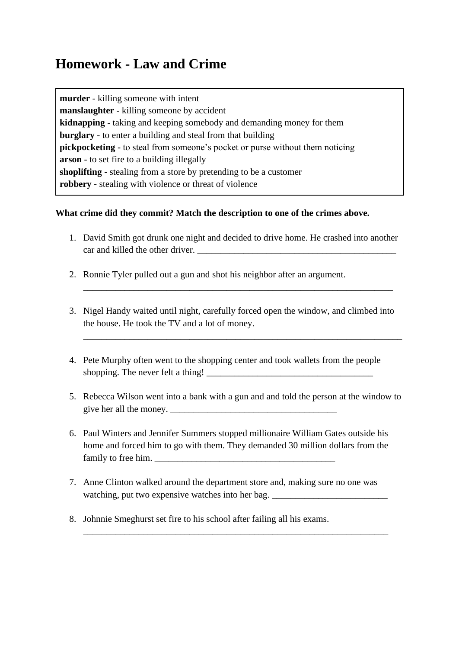## **Homework - Law and Crime**

**murder** - killing someone with intent **manslaughter -** killing someone by accident **kidnapping -** taking and keeping somebody and demanding money for them **burglary -** to enter a building and steal from that building **pickpocketing -** to steal from someone's pocket or purse without them noticing **arson -** to set fire to a building illegally **shoplifting -** stealing from a store by pretending to be a customer **robbery -** stealing with violence or threat of violence

## **What crime did they commit? Match the description to one of the crimes above.**

- 1. David Smith got drunk one night and decided to drive home. He crashed into another car and killed the other driver.
- 2. Ronnie Tyler pulled out a gun and shot his neighbor after an argument.
- 3. Nigel Handy waited until night, carefully forced open the window, and climbed into the house. He took the TV and a lot of money.

\_\_\_\_\_\_\_\_\_\_\_\_\_\_\_\_\_\_\_\_\_\_\_\_\_\_\_\_\_\_\_\_\_\_\_\_\_\_\_\_\_\_\_\_\_\_\_\_\_\_\_\_\_\_\_\_\_\_\_\_\_\_\_\_\_\_\_\_\_

\_\_\_\_\_\_\_\_\_\_\_\_\_\_\_\_\_\_\_\_\_\_\_\_\_\_\_\_\_\_\_\_\_\_\_\_\_\_\_\_\_\_\_\_\_\_\_\_\_\_\_\_\_\_\_\_\_\_\_\_\_\_\_\_\_\_\_

- 4. Pete Murphy often went to the shopping center and took wallets from the people shopping. The never felt a thing!  $\qquad$
- 5. Rebecca Wilson went into a bank with a gun and and told the person at the window to give her all the money.
- 6. Paul Winters and Jennifer Summers stopped millionaire William Gates outside his home and forced him to go with them. They demanded 30 million dollars from the family to free him.
- 7. Anne Clinton walked around the department store and, making sure no one was watching, put two expensive watches into her bag. \_\_\_\_\_\_\_\_\_\_\_\_\_\_\_\_\_\_\_\_\_\_\_\_\_\_\_\_\_\_\_

\_\_\_\_\_\_\_\_\_\_\_\_\_\_\_\_\_\_\_\_\_\_\_\_\_\_\_\_\_\_\_\_\_\_\_\_\_\_\_\_\_\_\_\_\_\_\_\_\_\_\_\_\_\_\_\_\_\_\_\_\_\_\_\_\_\_

8. Johnnie Smeghurst set fire to his school after failing all his exams.